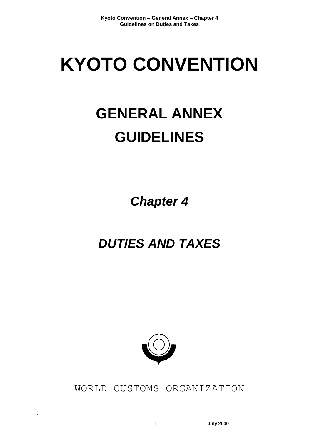# **KYOTO CONVENTION**

# **GENERAL ANNEX GUIDELINES**

*Chapter 4*

## *DUTIES AND TAXES*



WORLD CUSTOMS ORGANIZATION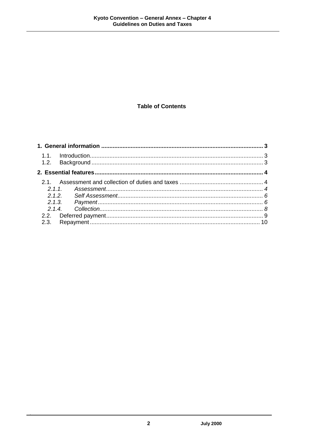#### **Table of Contents**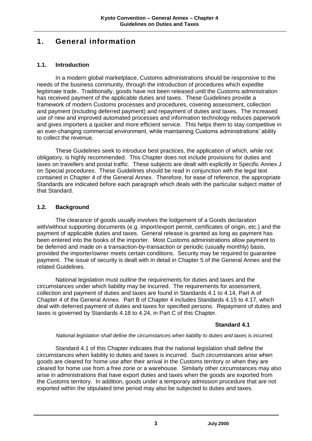### **1. General information**

#### **1.1. Introduction**

In a modern global marketplace, Customs administrations should be responsive to the needs of the business community, through the introduction of procedures which expedite legitimate trade. Traditionally, goods have not been released until the Customs administration has received payment of the applicable duties and taxes. These Guidelines provide a framework of modern Customs processes and procedures, covering assessment, collection and payment (including deferred payment) and repayment of duties and taxes. The increased use of new and improved automated processes and information technology reduces paperwork and gives importers a quicker and more efficient service. This helps them to stay competitive in an ever-changing commercial environment, while maintaining Customs administrations' ability to collect the revenue.

These Guidelines seek to introduce best practices, the application of which, while not obligatory, is highly recommended. This Chapter does not include provisions for duties and taxes on travellers and postal traffic. These subjects are dealt with explicitly in Specific Annex J on Special procedures. These Guidelines should be read in conjunction with the legal text contained in Chapter 4 of the General Annex. Therefore, for ease of reference, the appropriate Standards are indicated before each paragraph which deals with the particular subject matter of that Standard.

#### **1.2. Background**

The clearance of goods usually involves the lodgement of a Goods declaration with/without supporting documents (e.g. import/export permit, certificates of origin, etc.) and the payment of applicable duties and taxes. General release is granted as long as payment has been entered into the books of the importer. Most Customs administrations allow payment to be deferred and made on a transaction-by-transaction or periodic (usually monthly) basis, provided the importer/owner meets certain conditions. Security may be required to guarantee payment. The issue of security is dealt with in detail in Chapter 5 of the General Annex and the related Guidelines.

National legislation must outline the requirements for duties and taxes and the circumstances under which liability may be incurred. The requirements for assessment, collection and payment of duties and taxes are found in Standards 4.1 to 4.14, Part A of Chapter 4 of the General Annex. Part B of Chapter 4 includes Standards 4.15 to 4.17, which deal with deferred payment of duties and taxes for specified persons. Repayment of duties and taxes is governed by Standards 4.18 to 4.24, in Part C of this Chapter.

#### **Standard 4.1**

#### *National legislation shall define the circumstances when liability to duties and taxes is incurred.*

Standard 4.1 of this Chapter indicates that the national legislation shall define the circumstances when liability to duties and taxes is incurred. Such circumstances arise when goods are cleared for home use after their arrival in the Customs territory or when they are cleared for home use from a free zone or a warehouse. Similarly other circumstances may also arise in administrations that have export duties and taxes when the goods are exported from the Customs territory. In addition, goods under a temporary admission procedure that are not exported within the stipulated time period may also be subjected to duties and taxes.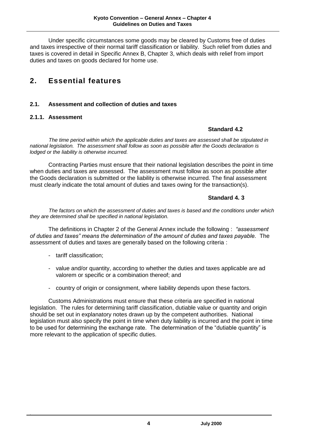Under specific circumstances some goods may be cleared by Customs free of duties and taxes irrespective of their normal tariff classification or liability. Such relief from duties and taxes is covered in detail in Specific Annex B, Chapter 3, which deals with relief from import duties and taxes on goods declared for home use.

### **2. Essential features**

#### **2.1. Assessment and collection of duties and taxes**

#### **2.1.1. Assessment**

#### **Standard 4.2**

*The time period within which the applicable duties and taxes are assessed shall be stipulated in national legislation. The assessment shall follow as soon as possible after the Goods declaration is lodged or the liability is otherwise incurred.*

Contracting Parties must ensure that their national legislation describes the point in time when duties and taxes are assessed. The assessment must follow as soon as possible after the Goods declaration is submitted or the liability is otherwise incurred. The final assessment must clearly indicate the total amount of duties and taxes owing for the transaction(s).

#### **Standard 4. 3**

*The factors on which the assessment of duties and taxes is based and the conditions under which they are determined shall be specified in national legislation.*

The definitions in Chapter 2 of the General Annex include the following : *"assessment of duties and taxes" means the determination of the amount of duties and taxes payable.* The assessment of duties and taxes are generally based on the following criteria :

- tariff classification;
- value and/or quantity, according to whether the duties and taxes applicable are ad valorem or specific or a combination thereof; and
- country of origin or consignment, where liability depends upon these factors.

Customs Administrations must ensure that these criteria are specified in national legislation. The rules for determining tariff classification, dutiable value or quantity and origin should be set out in explanatory notes drawn up by the competent authorities. National legislation must also specify the point in time when duty liability is incurred and the point in time to be used for determining the exchange rate. The determination of the "dutiable quantity" is more relevant to the application of specific duties.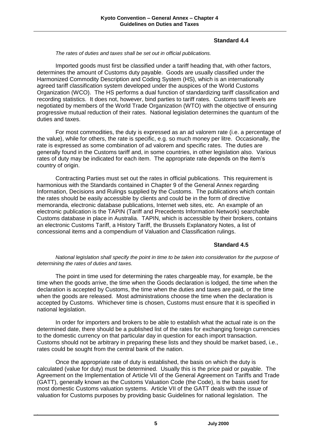#### **Standard 4.4**

#### *The rates of duties and taxes shall be set out in official publications.*

Imported goods must first be classified under a tariff heading that, with other factors, determines the amount of Customs duty payable. Goods are usually classified under the Harmonized Commodity Description and Coding System (HS), which is an internationally agreed tariff classification system developed under the auspices of the World Customs Organization (WCO). The HS performs a dual function of standardizing tariff classification and recording statistics. It does not, however, bind parties to tariff rates. Customs tariff levels are negotiated by members of the World Trade Organization (WTO) with the objective of ensuring progressive mutual reduction of their rates. National legislation determines the quantum of the duties and taxes.

For most commodities, the duty is expressed as an ad valorem rate (i.e. a percentage of the value), while for others, the rate is specific, e.g. so much money per litre. Occasionally, the rate is expressed as some combination of ad valorem and specific rates. The duties are generally found in the Customs tariff and, in some countries, in other legislation also. Various rates of duty may be indicated for each item. The appropriate rate depends on the item's country of origin.

Contracting Parties must set out the rates in official publications. This requirement is harmonious with the Standards contained in Chapter 9 of the General Annex regarding Information, Decisions and Rulings supplied by the Customs. The publications which contain the rates should be easily accessible by clients and could be in the form of directive memoranda, electronic database publications, Internet web sites, etc. An example of an electronic publication is the TAPIN (Tariff and Precedents Information Network) searchable Customs database in place in Australia. TAPIN, which is accessible by their brokers, contains an electronic Customs Tariff, a History Tariff, the Brussels Explanatory Notes, a list of concessional items and a compendium of Valuation and Classification rulings.

#### **Standard 4.5**

*National legislation shall specify the point in time to be taken into consideration for the purpose of determining the rates of duties and taxes.*

The point in time used for determining the rates chargeable may, for example, be the time when the goods arrive, the time when the Goods declaration is lodged, the time when the declaration is accepted by Customs, the time when the duties and taxes are paid, or the time when the goods are released. Most administrations choose the time when the declaration is accepted by Customs. Whichever time is chosen, Customs must ensure that it is specified in national legislation.

In order for importers and brokers to be able to establish what the actual rate is on the determined date, there should be a published list of the rates for exchanging foreign currencies to the domestic currency on that particular day in question for each import transaction. Customs should not be arbitrary in preparing these lists and they should be market based, i.e., rates could be sought from the central bank of the nation.

Once the appropriate rate of duty is established, the basis on which the duty is calculated (value for duty) must be determined. Usually this is the price paid or payable. The Agreement on the Implementation of Article VII of the General Agreement on Tariffs and Trade (GATT), generally known as the Customs Valuation Code (the Code), is the basis used for most domestic Customs valuation systems. Article VII of the GATT deals with the issue of valuation for Customs purposes by providing basic Guidelines for national legislation. The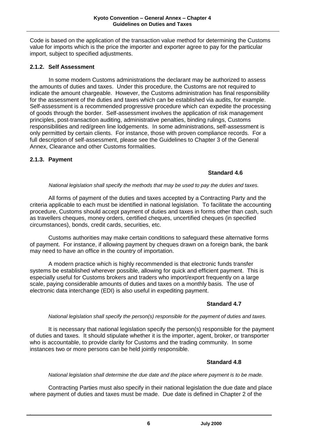Code is based on the application of the transaction value method for determining the Customs value for imports which is the price the importer and exporter agree to pay for the particular import, subject to specified adjustments.

#### **2.1.2. Self Assessment**

In some modern Customs administrations the declarant may be authorized to assess the amounts of duties and taxes. Under this procedure, the Customs are not required to indicate the amount chargeable. However, the Customs administration has final responsibility for the assessment of the duties and taxes which can be established via audits, for example. Self-assessment is a recommended progressive procedure which can expedite the processing of goods through the border. Self-assessment involves the application of risk management principles, post-transaction auditing, administrative penalties, binding rulings, Customs responsibilities and red/green line lodgements. In some administrations, self-assessment is only permitted by certain clients. For instance, those with proven compliance records. For a full description of self-assessment, please see the Guidelines to Chapter 3 of the General Annex, Clearance and other Customs formalities.

#### **2.1.3. Payment**

#### **Standard 4.6**

#### *National legislation shall specify the methods that may be used to pay the duties and taxes.*

All forms of payment of the duties and taxes accepted by a Contracting Party and the criteria applicable to each must be identified in national legislation. To facilitate the accounting procedure, Customs should accept payment of duties and taxes in forms other than cash, such as travellers cheques, money orders, certified cheques, uncertified cheques (in specified circumstances), bonds, credit cards, securities, etc.

Customs authorities may make certain conditions to safeguard these alternative forms of payment. For instance, if allowing payment by cheques drawn on a foreign bank, the bank may need to have an office in the country of importation.

A modern practice which is highly recommended is that electronic funds transfer systems be established wherever possible, allowing for quick and efficient payment. This is especially useful for Customs brokers and traders who import/export frequently on a large scale, paying considerable amounts of duties and taxes on a monthly basis. The use of electronic data interchange (EDI) is also useful in expediting payment.

#### **Standard 4.7**

#### *National legislation shall specify the person(s) responsible for the payment of duties and taxes.*

It is necessary that national legislation specify the person(s) responsible for the payment of duties and taxes. It should stipulate whether it is the importer, agent, broker, or transporter who is accountable, to provide clarity for Customs and the trading community. In some instances two or more persons can be held jointly responsible.

#### **Standard 4.8**

*National legislation shall determine the due date and the place where payment is to be made.*

Contracting Parties must also specify in their national legislation the due date and place where payment of duties and taxes must be made. Due date is defined in Chapter 2 of the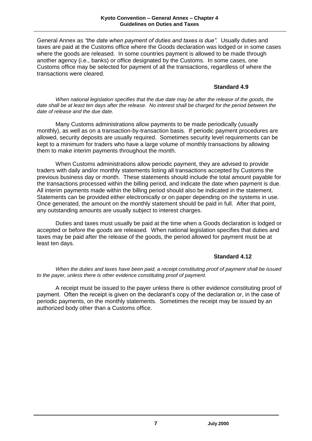General Annex as *"the date when payment of duties and taxes is due".* Usually duties and taxes are paid at the Customs office where the Goods declaration was lodged or in some cases where the goods are released. In some countries payment is allowed to be made through another agency (i.e., banks) or office designated by the Customs. In some cases, one Customs office may be selected for payment of all the transactions, regardless of where the transactions were cleared.

#### **Standard 4.9**

*When national legislation specifies that the due date may be after the release of the goods, the date shall be at least ten days after the release. No interest shall be charged for the period between the date of release and the due date.*

Many Customs administrations allow payments to be made periodically (usually monthly), as well as on a transaction-by-transaction basis. If periodic payment procedures are allowed, security deposits are usually required. Sometimes security level requirements can be kept to a minimum for traders who have a large volume of monthly transactions by allowing them to make interim payments throughout the month.

When Customs administrations allow periodic payment, they are advised to provide traders with daily and/or monthly statements listing all transactions accepted by Customs the previous business day or month. These statements should include the total amount payable for the transactions processed within the billing period, and indicate the date when payment is due. All interim payments made within the billing period should also be indicated in the statement. Statements can be provided either electronically or on paper depending on the systems in use. Once generated, the amount on the monthly statement should be paid in full. After that point, any outstanding amounts are usually subject to interest charges.

Duties and taxes must usually be paid at the time when a Goods declaration is lodged or accepted or before the goods are released. When national legislation specifies that duties and taxes may be paid after the release of the goods, the period allowed for payment must be at least ten days.

#### **Standard 4.12**

*When the duties and taxes have been paid, a receipt constituting proof of payment shall be issued to the payer, unless there is other evidence constituting proof of payment.*

A receipt must be issued to the payer unless there is other evidence constituting proof of payment. Often the receipt is given on the declarant's copy of the declaration or, in the case of periodic payments, on the monthly statements. Sometimes the receipt may be issued by an authorized body other than a Customs office.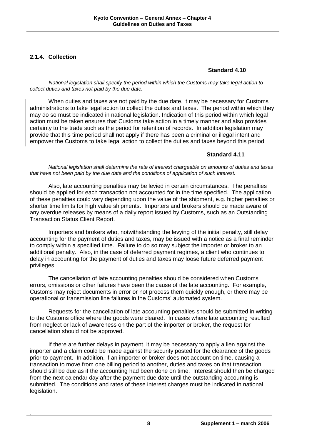#### **2.1.4. Collection**

#### **Standard 4.10**

*National legislation shall specify the period within which the Customs may take legal action to collect duties and taxes not paid by the due date.*

When duties and taxes are not paid by the due date, it may be necessary for Customs administrations to take legal action to collect the duties and taxes. The period within which they may do so must be indicated in national legislation. Indication of this period within which legal action must be taken ensures that Customs take action in a timely manner and also provides certainty to the trade such as the period for retention of records. In addition legislation may provide that this time period shall not apply if there has been a criminal or illegal intent and empower the Customs to take legal action to collect the duties and taxes beyond this period.

#### **Standard 4.11**

*National legislation shall determine the rate of interest chargeable on amounts of duties and taxes that have not been paid by the due date and the conditions of application of such interest.*

Also, late accounting penalties may be levied in certain circumstances. The penalties should be applied for each transaction not accounted for in the time specified. The application of these penalties could vary depending upon the value of the shipment, e.g. higher penalties or shorter time limits for high value shipments. Importers and brokers should be made aware of any overdue releases by means of a daily report issued by Customs, such as an Outstanding Transaction Status Client Report.

Importers and brokers who, notwithstanding the levying of the initial penalty, still delay accounting for the payment of duties and taxes, may be issued with a notice as a final reminder to comply within a specified time. Failure to do so may subject the importer or broker to an additional penalty. Also, in the case of deferred payment regimes, a client who continues to delay in accounting for the payment of duties and taxes may loose future deferred payment privileges.

The cancellation of late accounting penalties should be considered when Customs errors, omissions or other failures have been the cause of the late accounting. For example, Customs may reject documents in error or not process them quickly enough, or there may be operational or transmission line failures in the Customs' automated system.

Requests for the cancellation of late accounting penalties should be submitted in writing to the Customs office where the goods were cleared. In cases where late accounting resulted from neglect or lack of awareness on the part of the importer or broker, the request for cancellation should not be approved.

If there are further delays in payment, it may be necessary to apply a lien against the importer and a claim could be made against the security posted for the clearance of the goods prior to payment. In addition, if an importer or broker does not account on time, causing a transaction to move from one billing period to another, duties and taxes on that transaction should still be due as if the accounting had been done on time. Interest should then be charged from the next calendar day after the payment due date until the outstanding accounting is submitted. The conditions and rates of these interest charges must be indicated in national legislation.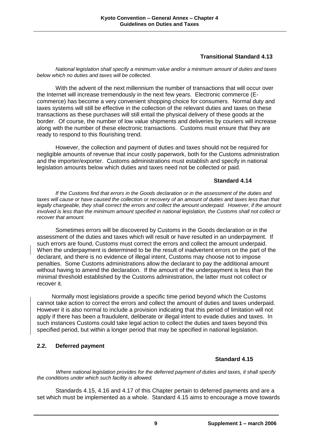#### **Transitional Standard 4.13**

*National legislation shall specify a minimum value and/or a minimum amount of duties and taxes below which no duties and taxes will be collected.*

With the advent of the next millennium the number of transactions that will occur over the Internet will increase tremendously in the next few years. Electronic commerce (Ecommerce) has become a very convenient shopping choice for consumers. Normal duty and taxes systems will still be effective in the collection of the relevant duties and taxes on these transactions as these purchases will still entail the physical delivery of these goods at the border. Of course, the number of low value shipments and deliveries by couriers will increase along with the number of these electronic transactions. Customs must ensure that they are ready to respond to this flourishing trend.

However, the collection and payment of duties and taxes should not be required for negligible amounts of revenue that incur costly paperwork, both for the Customs administration and the importer/exporter. Customs administrations must establish and specify in national legislation amounts below which duties and taxes need not be collected or paid.

#### **Standard 4.14**

*If the Customs find that errors in the Goods declaration or in the assessment of the duties and taxes will cause or have caused the collection or recovery of an amount of duties and taxes less than that legally chargeable, they shall correct the errors and collect the amount underpaid. However, if the amount involved is less than the minimum amount specified in national legislation, the Customs shall not collect or recover that amount.*

Sometimes errors will be discovered by Customs in the Goods declaration or in the assessment of the duties and taxes which will result or have resulted in an underpayment. If such errors are found, Customs must correct the errors and collect the amount underpaid. When the underpayment is determined to be the result of inadvertent errors on the part of the declarant, and there is no evidence of illegal intent, Customs may choose not to impose penalties. Some Customs administrations allow the declarant to pay the additional amount without having to amend the declaration. If the amount of the underpayment is less than the minimal threshold established by the Customs administration, the latter must not collect or recover it.

Normally most legislations provide a specific time period beyond which the Customs cannot take action to correct the errors and collect the amount of duties and taxes underpaid. However it is also normal to include a provision indicating that this period of limitation will not apply if there has been a fraudulent, deliberate or illegal intent to evade duties and taxes. In such instances Customs could take legal action to collect the duties and taxes beyond this specified period, but within a longer period that may be specified in national legislation.

#### **2.2. Deferred payment**

#### **Standard 4.15**

*Where national legislation provides for the deferred payment of duties and taxes, it shall specify the conditions under which such facility is allowed.*

Standards 4.15, 4.16 and 4.17 of this Chapter pertain to deferred payments and are a set which must be implemented as a whole. Standard 4.15 aims to encourage a move towards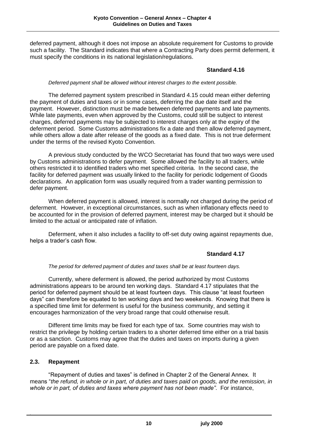deferred payment, although it does not impose an absolute requirement for Customs to provide such a facility. The Standard indicates that where a Contracting Party does permit deferment, it must specify the conditions in its national legislation/regulations.

#### **Standard 4.16**

#### *Deferred payment shall be allowed without interest charges to the extent possible.*

The deferred payment system prescribed in Standard 4.15 could mean either deferring the payment of duties and taxes or in some cases, deferring the due date itself and the payment. However, distinction must be made between deferred payments and late payments. While late payments, even when approved by the Customs, could still be subject to interest charges, deferred payments may be subjected to interest charges only at the expiry of the deferment period. Some Customs administrations fix a date and then allow deferred payment, while others allow a date after release of the goods as a fixed date. This is not true deferment under the terms of the revised Kyoto Convention.

A previous study conducted by the WCO Secretariat has found that two ways were used by Customs administrations to defer payment. Some allowed the facility to all traders, while others restricted it to identified traders who met specified criteria. In the second case, the facility for deferred payment was usually linked to the facility for periodic lodgement of Goods declarations. An application form was usually required from a trader wanting permission to defer payment.

When deferred payment is allowed, interest is normally not charged during the period of deferment. However, in exceptional circumstances, such as when inflationary effects need to be accounted for in the provision of deferred payment, interest may be charged but it should be limited to the actual or anticipated rate of inflation.

Deferment, when it also includes a facility to off-set duty owing against repayments due, helps a trader's cash flow.

#### **Standard 4.17**

#### *The period for deferred payment of duties and taxes shall be at least fourteen days.*

Currently, where deferment is allowed, the period authorized by most Customs administrations appears to be around ten working days. Standard 4.17 stipulates that the period for deferred payment should be at least fourteen days. This clause "at least fourteen days" can therefore be equated to ten working days and two weekends. Knowing that there is a specified time limit for deferment is useful for the business community, and setting it encourages harmonization of the very broad range that could otherwise result.

Different time limits may be fixed for each type of tax. Some countries may wish to restrict the privilege by holding certain traders to a shorter deferred time either on a trial basis or as a sanction. Customs may agree that the duties and taxes on imports during a given period are payable on a fixed date.

#### **2.3. Repayment**

"Repayment of duties and taxes" is defined in Chapter 2 of the General Annex. It means "*the refund, in whole or in part, of duties and taxes paid on goods, and the remission, in whole or in part, of duties and taxes where payment has not been made"*. For instance,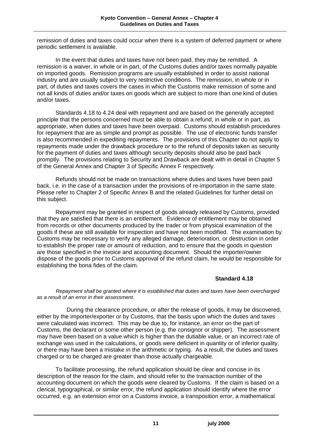remission of duties and taxes could occur when there is a system of deferred payment or where periodic settlement is available.

In the event that duties and taxes have not been paid, they may be remitted. A remission is a waiver, in whole or in part, of the Customs duties and/or taxes normally payable on imported goods. Remission programs are usually established in order to assist national industry and are usually subject to very restrictive conditions. The remission, in whole or in part, of duties and taxes covers the cases in which the Customs make remission of some and not all kinds of duties and/or taxes on goods which are subject to more than one kind of duties and/or taxes.

Standards 4.18 to 4.24 deal with repayment and are based on the generally accepted principle that the persons concerned must be able to obtain a refund, in whole or in part, as appropriate, when duties and taxes have been overpaid. Customs should establish procedures for repayment that are as simple and prompt as possible. The use of electronic funds transfer is also recommended in expediting repayments. The provisions of this Chapter do not apply to repayments made under the drawback procedure or to the refund of deposits taken as security for the payment of duties and taxes although security deposits should also be paid back promptly. The provisions relating to Security and Drawback are dealt with in detail in Chapter 5 of the General Annex and Chapter 3 of Specific Annex F respectively.

Refunds should not be made on transactions where duties and taxes have been paid back, i.e. in the case of a transaction under the provisions of re-importation in the same state. Please refer to Chapter 2 of Specific Annex B and the related Guidelines for further detail on this subject.

Repayment may be granted in respect of goods already released by Customs, provided that they are satisfied that there is an entitlement. Evidence of entitlement may be obtained from records or other documents produced by the trader or from physical examination of the goods if these are still available for inspection and have not been modified. The examination by Customs may be necessary to verify any alleged damage, deterioration, or destruction in order to establish the proper rate or amount of reduction, and to ensure that the goods in question are those specified in the invoice and accounting document. Should the importer/owner dispose of the goods prior to Customs approval of the refund claim, he would be responsible for establishing the bona fides of the claim.

#### **Standard 4.18**

*Repayment shall be granted where it is established that duties and taxes have been overcharged as a result of an error in their assessment.*

During the clearance procedure, or after the release of goods, it may be discovered, either by the importer/exporter or by Customs, that the basis upon which the duties and taxes were calculated was incorrect. This may be due to, for instance, an error on the part of Customs, the declarant or some other person (e.g. the consignor or shipper). The assessment may have been based on a value which is higher than the dutiable value, or an incorrect rate of exchange was used in the calculations, or goods were deficient in quantity or of inferior quality, or there may have been a mistake in the arithmetic or typing. As a result, the duties and taxes charged or to be charged are greater than those actually chargeable.

To facilitate processing, the refund application should be clear and concise in its description of the reason for the claim, and should refer to the transaction number of the accounting document on which the goods were cleared by Customs. If the claim is based on a clerical, typographical, or similar error, the refund application should identify where the error occurred, e.g. an extension error on a Customs invoice, a transposition error, a mathematical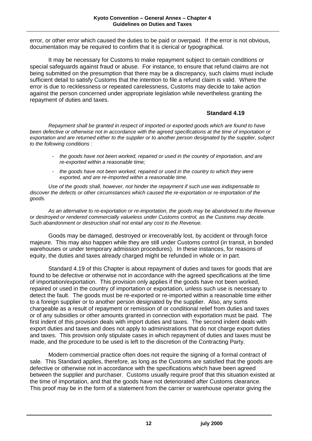error, or other error which caused the duties to be paid or overpaid. If the error is not obvious, documentation may be required to confirm that it is clerical or typographical.

It may be necessary for Customs to make repayment subject to certain conditions or special safeguards against fraud or abuse. For instance, to ensure that refund claims are not being submitted on the presumption that there may be a discrepancy, such claims must include sufficient detail to satisfy Customs that the intention to file a refund claim is valid. Where the error is due to recklessness or repeated carelessness, Customs may decide to take action against the person concerned under appropriate legislation while nevertheless granting the repayment of duties and taxes.

#### **Standard 4.19**

*Repayment shall be granted in respect of imported or exported goods which are found to have been defective or otherwise not in accordance with the agreed specifications at the time of importation or exportation and are returned either to the supplier or to another person designated by the supplier, subject to the following conditions :*

- *- the goods have not been worked, repaired or used in the country of importation, and are re-exported within a reasonable time;*
- *- the goods have not been worked, repaired or used in the country to which they were exported, and are re-imported within a reasonable time.*

*Use of the goods shall, however, not hinder the repayment if such use was indispensable to discover the defects or other circumstances which caused the re-exportation or re-importation of the goods.*

*As an alternative to re-exportation or re-importation, the goods may be abandoned to the Revenue or destroyed or rendered commercially valueless under Customs control, as the Customs may decide. Such abandonment or destruction shall not entail any cost to the Revenue.*

Goods may be damaged, destroyed or irrecoverably lost, by accident or through force majeure. This may also happen while they are still under Customs control (in transit, in bonded warehouses or under temporary admission procedures). In these instances, for reasons of equity, the duties and taxes already charged might be refunded in whole or in part.

Standard 4.19 of this Chapter is about repayment of duties and taxes for goods that are found to be defective or otherwise not in accordance with the agreed specifications at the time of importation/exportation. This provision only applies if the goods have not been worked, repaired or used in the country of importation or exportation, unless such use is necessary to detect the fault. The goods must be re-exported or re-imported within a reasonable time either to a foreign supplier or to another person designated by the supplier. Also, any sums chargeable as a result of repayment or remission of or conditional relief from duties and taxes or of any subsidies or other amounts granted in connection with exportation must be paid. The first indent of this provision deals with import duties and taxes. The second indent deals with export duties and taxes and does not apply to administrations that do not charge export duties and taxes. This provision only stipulate cases in which repayment of duties and taxes must be made, and the procedure to be used is left to the discretion of the Contracting Party.

Modern commercial practice often does not require the signing of a formal contract of sale. This Standard applies, therefore, as long as the Customs are satisfied that the goods are defective or otherwise not in accordance with the specifications which have been agreed between the supplier and purchaser. Customs usually require proof that this situation existed at the time of importation, and that the goods have not deteriorated after Customs clearance. This proof may be in the form of a statement from the carrier or warehouse operator giving the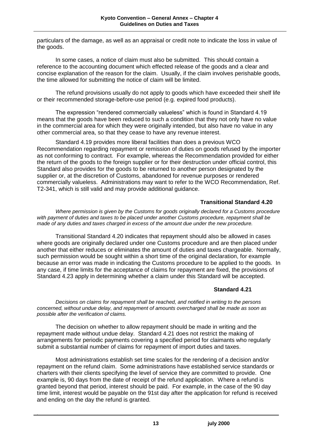particulars of the damage, as well as an appraisal or credit note to indicate the loss in value of the goods.

In some cases, a notice of claim must also be submitted. This should contain a reference to the accounting document which effected release of the goods and a clear and concise explanation of the reason for the claim. Usually, if the claim involves perishable goods, the time allowed for submitting the notice of claim will be limited.

The refund provisions usually do not apply to goods which have exceeded their shelf life or their recommended storage-before-use period (e.g. expired food products).

The expression "rendered commercially valueless" which is found in Standard 4.19 means that the goods have been reduced to such a condition that they not only have no value in the commercial area for which they were originally intended, but also have no value in any other commercial area, so that they cease to have any revenue interest.

Standard 4.19 provides more liberal facilities than does a previous WCO Recommendation regarding repayment or remission of duties on goods refused by the importer as not conforming to contract. For example, whereas the Recommendation provided for either the return of the goods to the foreign supplier or for their destruction under official control, this Standard also provides for the goods to be returned to another person designated by the supplier or, at the discretion of Customs, abandoned for revenue purposes or rendered commercially valueless. Administrations may want to refer to the WCO Recommendation, Ref. T2-341, which is still valid and may provide additional guidance.

#### **Transitional Standard 4.20**

*Where permission is given by the Customs for goods originally declared for a Customs procedure with payment of duties and taxes to be placed under another Customs procedure, repayment shall be made of any duties and taxes charged in excess of the amount due under the new procedure.*

Transitional Standard 4.20 indicates that repayment should also be allowed in cases where goods are originally declared under one Customs procedure and are then placed under another that either reduces or eliminates the amount of duties and taxes chargeable. Normally, such permission would be sought within a short time of the original declaration, for example because an error was made in indicating the Customs procedure to be applied to the goods. In any case, if time limits for the acceptance of claims for repayment are fixed, the provisions of Standard 4.23 apply in determining whether a claim under this Standard will be accepted.

#### **Standard 4.21**

*Decisions on claims for repayment shall be reached, and notified in writing to the persons concerned, without undue delay, and repayment of amounts overcharged shall be made as soon as possible after the verification of claims.*

The decision on whether to allow repayment should be made in writing and the repayment made without undue delay. Standard 4.21 does not restrict the making of arrangements for periodic payments covering a specified period for claimants who regularly submit a substantial number of claims for repayment of import duties and taxes.

Most administrations establish set time scales for the rendering of a decision and/or repayment on the refund claim. Some administrations have established service standards or charters with their clients specifying the level of service they are committed to provide. One example is, 90 days from the date of receipt of the refund application. Where a refund is granted beyond that period, interest should be paid. For example, in the case of the 90 day time limit, interest would be payable on the 91st day after the application for refund is received and ending on the day the refund is granted.